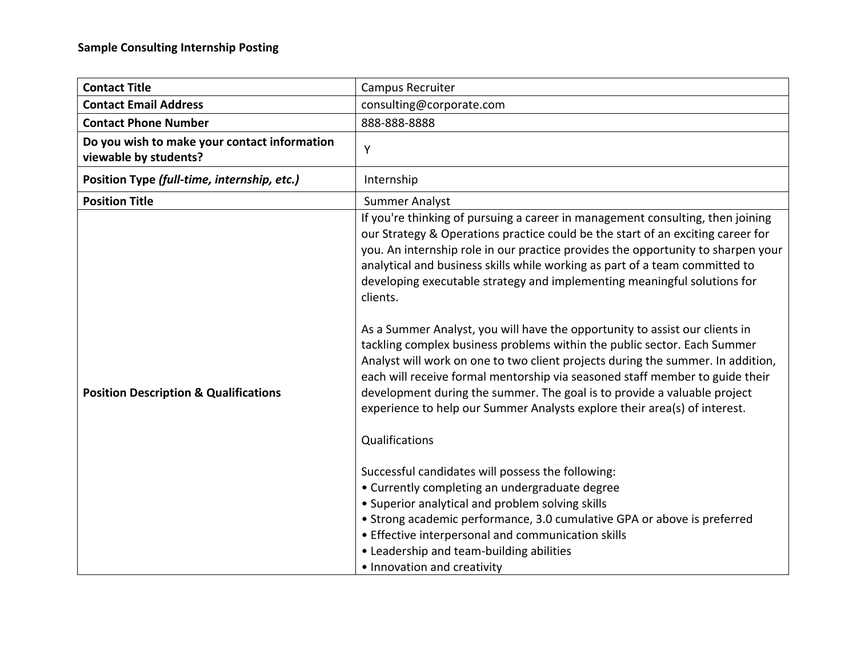| <b>Contact Title</b>                                                  | Campus Recruiter                                                                                                                                                                                                                                                                                                                                                                                                                                                                                                                                                                                                                                                                                                                                                                                                                                                                                                                                                                                                                                                                                                                                                                                                                                                                                             |
|-----------------------------------------------------------------------|--------------------------------------------------------------------------------------------------------------------------------------------------------------------------------------------------------------------------------------------------------------------------------------------------------------------------------------------------------------------------------------------------------------------------------------------------------------------------------------------------------------------------------------------------------------------------------------------------------------------------------------------------------------------------------------------------------------------------------------------------------------------------------------------------------------------------------------------------------------------------------------------------------------------------------------------------------------------------------------------------------------------------------------------------------------------------------------------------------------------------------------------------------------------------------------------------------------------------------------------------------------------------------------------------------------|
| <b>Contact Email Address</b>                                          | consulting@corporate.com                                                                                                                                                                                                                                                                                                                                                                                                                                                                                                                                                                                                                                                                                                                                                                                                                                                                                                                                                                                                                                                                                                                                                                                                                                                                                     |
| <b>Contact Phone Number</b>                                           | 888-888-8888                                                                                                                                                                                                                                                                                                                                                                                                                                                                                                                                                                                                                                                                                                                                                                                                                                                                                                                                                                                                                                                                                                                                                                                                                                                                                                 |
| Do you wish to make your contact information<br>viewable by students? | Y                                                                                                                                                                                                                                                                                                                                                                                                                                                                                                                                                                                                                                                                                                                                                                                                                                                                                                                                                                                                                                                                                                                                                                                                                                                                                                            |
| Position Type (full-time, internship, etc.)                           | Internship                                                                                                                                                                                                                                                                                                                                                                                                                                                                                                                                                                                                                                                                                                                                                                                                                                                                                                                                                                                                                                                                                                                                                                                                                                                                                                   |
| <b>Position Title</b>                                                 | <b>Summer Analyst</b>                                                                                                                                                                                                                                                                                                                                                                                                                                                                                                                                                                                                                                                                                                                                                                                                                                                                                                                                                                                                                                                                                                                                                                                                                                                                                        |
| <b>Position Description &amp; Qualifications</b>                      | If you're thinking of pursuing a career in management consulting, then joining<br>our Strategy & Operations practice could be the start of an exciting career for<br>you. An internship role in our practice provides the opportunity to sharpen your<br>analytical and business skills while working as part of a team committed to<br>developing executable strategy and implementing meaningful solutions for<br>clients.<br>As a Summer Analyst, you will have the opportunity to assist our clients in<br>tackling complex business problems within the public sector. Each Summer<br>Analyst will work on one to two client projects during the summer. In addition,<br>each will receive formal mentorship via seasoned staff member to guide their<br>development during the summer. The goal is to provide a valuable project<br>experience to help our Summer Analysts explore their area(s) of interest.<br>Qualifications<br>Successful candidates will possess the following:<br>• Currently completing an undergraduate degree<br>• Superior analytical and problem solving skills<br>• Strong academic performance, 3.0 cumulative GPA or above is preferred<br>• Effective interpersonal and communication skills<br>• Leadership and team-building abilities<br>• Innovation and creativity |